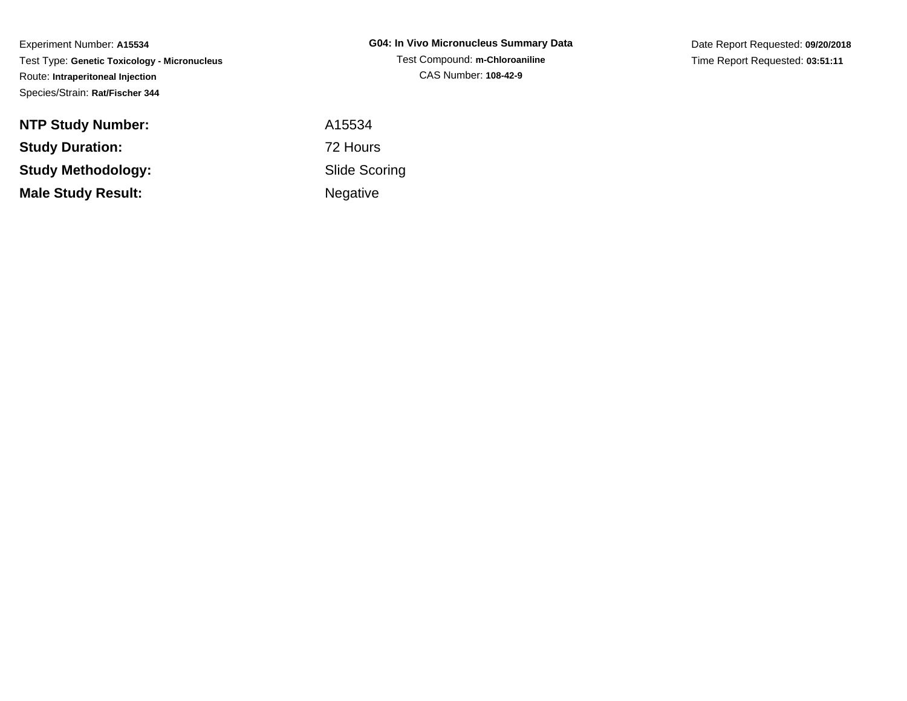Experiment Number: **A15534** Test Type: **Genetic Toxicology - Micronucleus**Route: **Intraperitoneal Injection**Species/Strain: **Rat/Fischer 344**

| <b>NTP Study Number:</b>  |  |
|---------------------------|--|
| <b>Study Duration:</b>    |  |
| Study Methodology:        |  |
| <b>Male Study Result:</b> |  |

**G04: In Vivo Micronucleus Summary Data**Test Compound: **m-Chloroaniline**CAS Number: **108-42-9**

Date Report Requested: **09/20/2018**Time Report Requested: **03:51:11**

 A15534 72 Hours Slide ScoringNegative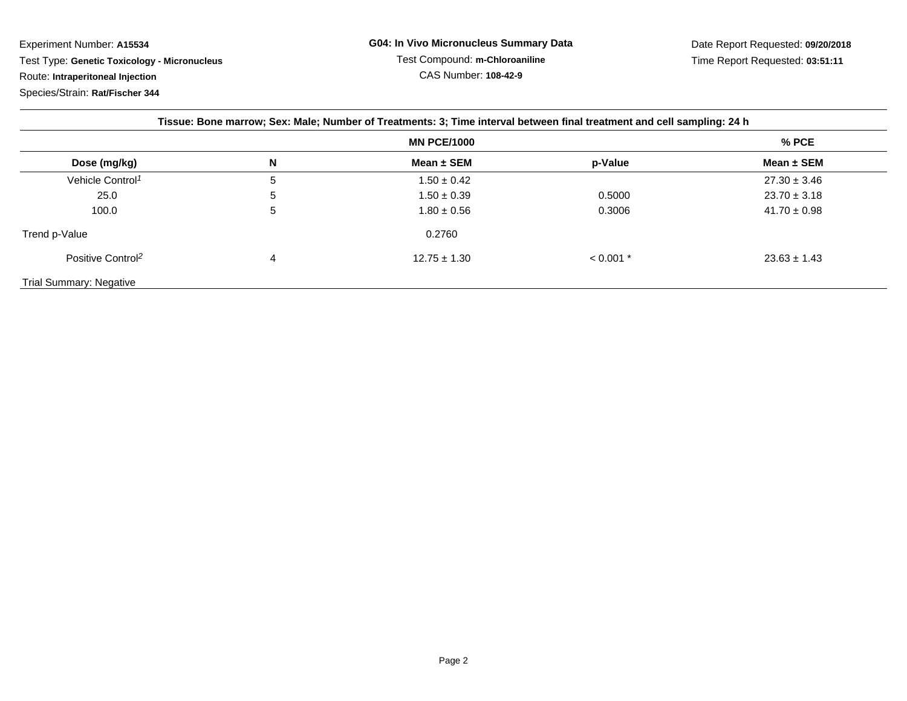Experiment Number: **A15534** Test Type: **Genetic Toxicology - Micronucleus**Route: **Intraperitoneal Injection**

Species/Strain: **Rat/Fischer 344**

| Tissue: Bone marrow; Sex: Male; Number of Treatments: 3; Time interval between final treatment and cell sampling: 24 h |                    |                  |             |                  |  |  |
|------------------------------------------------------------------------------------------------------------------------|--------------------|------------------|-------------|------------------|--|--|
|                                                                                                                        | <b>MN PCE/1000</b> |                  |             | % PCE            |  |  |
| Dose (mg/kg)                                                                                                           | N                  | Mean $\pm$ SEM   | p-Value     | Mean $\pm$ SEM   |  |  |
| Vehicle Control <sup>1</sup>                                                                                           | 5                  | $1.50 \pm 0.42$  |             | $27.30 \pm 3.46$ |  |  |
| 25.0                                                                                                                   | 5                  | $1.50 \pm 0.39$  | 0.5000      | $23.70 \pm 3.18$ |  |  |
| 100.0                                                                                                                  | 5                  | $1.80 \pm 0.56$  | 0.3006      | $41.70 \pm 0.98$ |  |  |
| Trend p-Value                                                                                                          |                    | 0.2760           |             |                  |  |  |
| Positive Control <sup>2</sup>                                                                                          | 4                  | $12.75 \pm 1.30$ | $< 0.001$ * | $23.63 \pm 1.43$ |  |  |
| <b>Trial Summary: Negative</b>                                                                                         |                    |                  |             |                  |  |  |